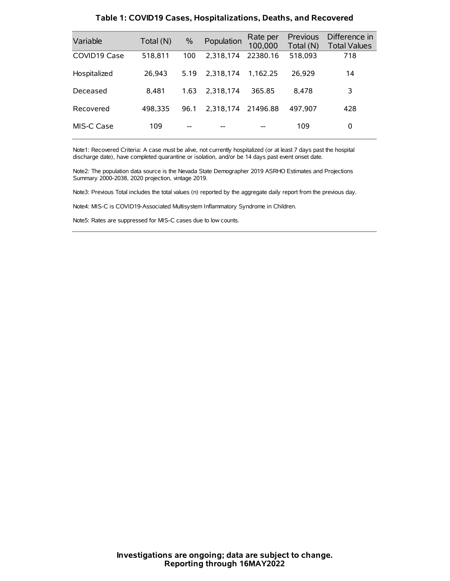| Variable     | Total (N) | $\%$ | Population | Rate per<br>100,000 | Previous<br>Total (N) | Difference in<br><b>Total Values</b> |
|--------------|-----------|------|------------|---------------------|-----------------------|--------------------------------------|
| COVID19 Case | 518.811   | 100  | 2.318.174  | 22380.16            | 518,093               | 718                                  |
| Hospitalized | 26.943    | 5.19 | 2.318.174  | 1.162.25            | 26.929                | 14                                   |
| Deceased     | 8.481     | 1.63 | 2.318.174  | 365.85              | 8.478                 | 3                                    |
| Recovered    | 498.335   | 96.1 | 2.318.174  | 21496.88            | 497,907               | 428                                  |
| MIS-C Case   | 109       | --   |            |                     | 109                   | 0                                    |

#### **Table 1: COVID19 Cases, Hospitalizations, Deaths, and Recovered**

Note1: Recovered Criteria: A case must be alive, not currently hospitalized (or at least 7 days past the hospital discharge date), have completed quarantine or isolation, and/or be 14 days past event onset date.

Note2: The population data source is the Nevada State Demographer 2019 ASRHO Estimates and Projections Summary 2000-2038, 2020 projection, vintage 2019.

Note3: Previous Total includes the total values (n) reported by the aggregate daily report from the previous day.

Note4: MIS-C is COVID19-Associated Multisystem Inflammatory Syndrome in Children.

Note5: Rates are suppressed for MIS-C cases due to low counts.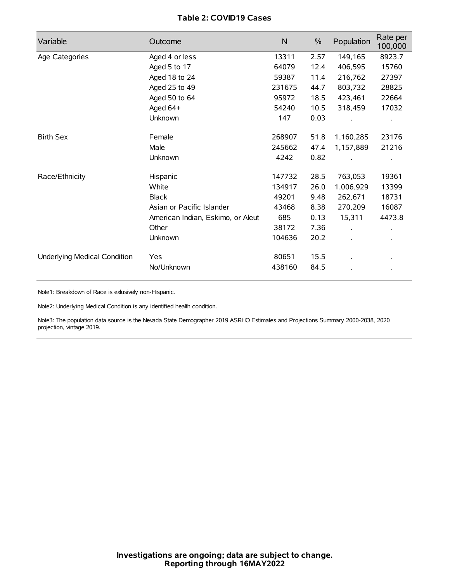# **Table 2: COVID19 Cases**

| Variable                     | Outcome                           | $\mathsf{N}$ | $\%$ | Population           | Rate per<br>100,000 |
|------------------------------|-----------------------------------|--------------|------|----------------------|---------------------|
| Age Categories               | Aged 4 or less                    | 13311        | 2.57 | 149,165              | 8923.7              |
|                              | Aged 5 to 17                      | 64079        | 12.4 | 406,595              | 15760               |
|                              | Aged 18 to 24                     | 59387        | 11.4 | 216,762              | 27397               |
|                              | Aged 25 to 49                     | 231675       | 44.7 | 803,732              | 28825               |
|                              | Aged 50 to 64                     | 95972        | 18.5 | 423,461              | 22664               |
|                              | Aged 64+                          | 54240        | 10.5 | 318,459              | 17032               |
|                              | Unknown                           | 147          | 0.03 |                      |                     |
| <b>Birth Sex</b>             | Female                            | 268907       | 51.8 | 1,160,285            | 23176               |
|                              | Male                              | 245662       | 47.4 | 1,157,889            | 21216               |
|                              | Unknown                           | 4242         | 0.82 |                      |                     |
| Race/Ethnicity               | Hispanic                          | 147732       | 28.5 | 763,053              | 19361               |
|                              | White                             | 134917       | 26.0 | 1,006,929            | 13399               |
|                              | <b>Black</b>                      | 49201        | 9.48 | 262,671              | 18731               |
|                              | Asian or Pacific Islander         | 43468        | 8.38 | 270,209              | 16087               |
|                              | American Indian, Eskimo, or Aleut | 685          | 0.13 | 15,311               | 4473.8              |
|                              | Other                             | 38172        | 7.36 | $\ddot{\phantom{0}}$ |                     |
|                              | Unknown                           | 104636       | 20.2 | ÷.                   |                     |
| Underlying Medical Condition | Yes                               | 80651        | 15.5 |                      |                     |
|                              | No/Unknown                        | 438160       | 84.5 |                      |                     |

Note1: Breakdown of Race is exlusively non-Hispanic.

Note2: Underlying Medical Condition is any identified health condition.

Note3: The population data source is the Nevada State Demographer 2019 ASRHO Estimates and Projections Summary 2000-2038, 2020 projection, vintage 2019.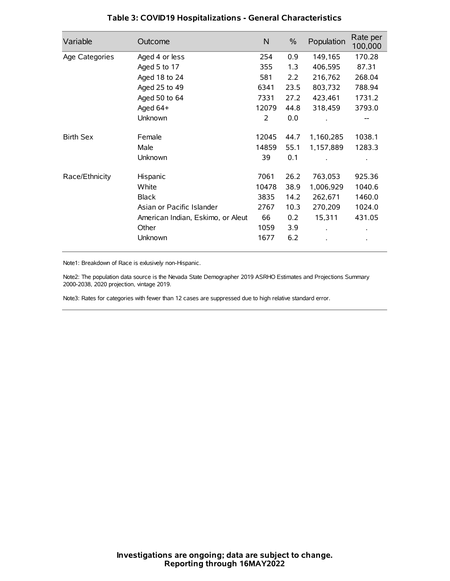| Variable         | Outcome                           | N     | $\%$ | Population | Rate per<br>100,000 |
|------------------|-----------------------------------|-------|------|------------|---------------------|
| Age Categories   | Aged 4 or less                    | 254   | 0.9  | 149,165    | 170.28              |
|                  | Aged 5 to 17                      | 355   | 1.3  | 406,595    | 87.31               |
|                  | Aged 18 to 24                     | 581   | 2.2  | 216,762    | 268.04              |
|                  | Aged 25 to 49                     | 6341  | 23.5 | 803,732    | 788.94              |
|                  | Aged 50 to 64                     | 7331  | 27.2 | 423,461    | 1731.2              |
|                  | Aged 64+                          | 12079 | 44.8 | 318,459    | 3793.0              |
|                  | Unknown                           | 2     | 0.0  |            |                     |
| <b>Birth Sex</b> | Female                            | 12045 | 44.7 | 1,160,285  | 1038.1              |
|                  | Male                              | 14859 | 55.1 | 1,157,889  | 1283.3              |
|                  | Unknown                           | 39    | 0.1  |            |                     |
| Race/Ethnicity   | Hispanic                          | 7061  | 26.2 | 763,053    | 925.36              |
|                  | White                             | 10478 | 38.9 | 1,006,929  | 1040.6              |
|                  | <b>Black</b>                      | 3835  | 14.2 | 262,671    | 1460.0              |
|                  | Asian or Pacific Islander         | 2767  | 10.3 | 270,209    | 1024.0              |
|                  | American Indian, Eskimo, or Aleut | 66    | 0.2  | 15,311     | 431.05              |
|                  | Other                             | 1059  | 3.9  |            |                     |
|                  | Unknown                           | 1677  | 6.2  |            |                     |

# **Table 3: COVID19 Hospitalizations - General Characteristics**

Note1: Breakdown of Race is exlusively non-Hispanic.

Note2: The population data source is the Nevada State Demographer 2019 ASRHO Estimates and Projections Summary 2000-2038, 2020 projection, vintage 2019.

Note3: Rates for categories with fewer than 12 cases are suppressed due to high relative standard error.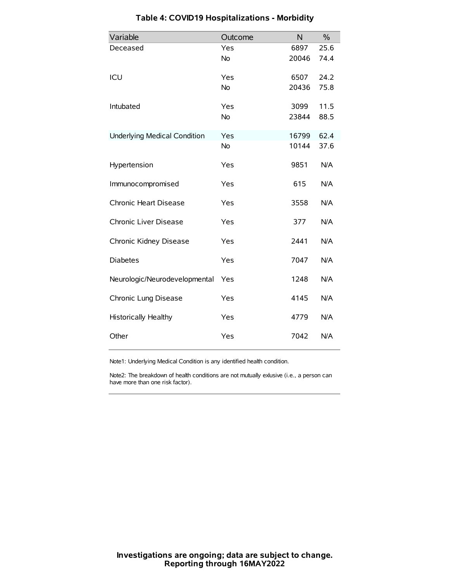| Variable                            | Outcome   | N     | $\%$ |
|-------------------------------------|-----------|-------|------|
| Deceased                            | Yes       | 6897  | 25.6 |
|                                     | No        | 20046 | 74.4 |
| ICU                                 | Yes       | 6507  | 24.2 |
|                                     | <b>No</b> | 20436 | 75.8 |
| Intubated                           | Yes       | 3099  | 11.5 |
|                                     | No        | 23844 | 88.5 |
| <b>Underlying Medical Condition</b> | Yes       | 16799 | 62.4 |
|                                     | No        | 10144 | 37.6 |
| Hypertension                        | Yes       | 9851  | N/A  |
| Immunocompromised                   | Yes       | 615   | N/A  |
| Chronic Heart Disease               | Yes       | 3558  | N/A  |
| Chronic Liver Disease               | Yes       | 377   | N/A  |
| Chronic Kidney Disease              | Yes       | 2441  | N/A  |
| <b>Diabetes</b>                     | Yes       | 7047  | N/A  |
| Neurologic/Neurodevelopmental       | Yes       | 1248  | N/A  |
| Chronic Lung Disease                | Yes       | 4145  | N/A  |
| <b>Historically Healthy</b>         | Yes       | 4779  | N/A  |
| Other                               | Yes       | 7042  | N/A  |

# **Table 4: COVID19 Hospitalizations - Morbidity**

Note1: Underlying Medical Condition is any identified health condition.

Note2: The breakdown of health conditions are not mutually exlusive (i.e., a person can have more than one risk factor).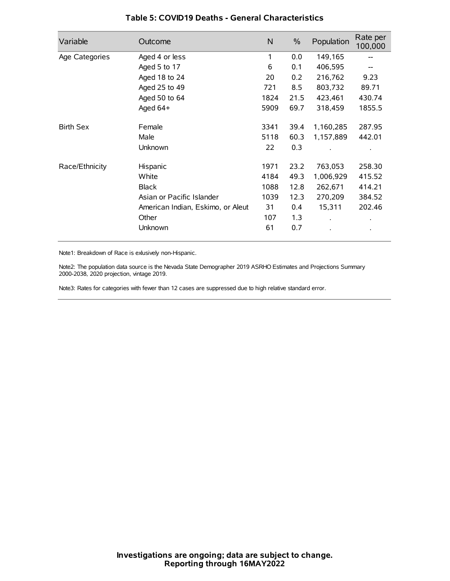| Variable         | Outcome                           | N    | $\%$ | Population           | Rate per<br>100,000 |
|------------------|-----------------------------------|------|------|----------------------|---------------------|
| Age Categories   | Aged 4 or less                    | 1    | 0.0  | 149,165              |                     |
|                  | Aged 5 to 17                      | 6    | 0.1  | 406,595              |                     |
|                  | Aged 18 to 24                     | 20   | 0.2  | 216,762              | 9.23                |
|                  | Aged 25 to 49                     | 721  | 8.5  | 803,732              | 89.71               |
|                  | Aged 50 to 64                     | 1824 | 21.5 | 423,461              | 430.74              |
|                  | Aged 64+                          | 5909 | 69.7 | 318,459              | 1855.5              |
| <b>Birth Sex</b> | Female                            | 3341 | 39.4 | 1,160,285            | 287.95              |
|                  | Male                              | 5118 | 60.3 | 1,157,889            | 442.01              |
|                  | Unknown                           | 22   | 0.3  |                      |                     |
| Race/Ethnicity   | Hispanic                          | 1971 | 23.2 | 763,053              | 258.30              |
|                  | White                             | 4184 | 49.3 | 1,006,929            | 415.52              |
|                  | <b>Black</b>                      | 1088 | 12.8 | 262,671              | 414.21              |
|                  | Asian or Pacific Islander         | 1039 | 12.3 | 270,209              | 384.52              |
|                  | American Indian, Eskimo, or Aleut | 31   | 0.4  | 15,311               | 202.46              |
|                  | Other                             | 107  | 1.3  | $\ddot{\phantom{0}}$ | $\bullet$           |
|                  | Unknown                           | 61   | 0.7  |                      | $\bullet$           |

### **Table 5: COVID19 Deaths - General Characteristics**

Note1: Breakdown of Race is exlusively non-Hispanic.

Note2: The population data source is the Nevada State Demographer 2019 ASRHO Estimates and Projections Summary 2000-2038, 2020 projection, vintage 2019.

Note3: Rates for categories with fewer than 12 cases are suppressed due to high relative standard error.